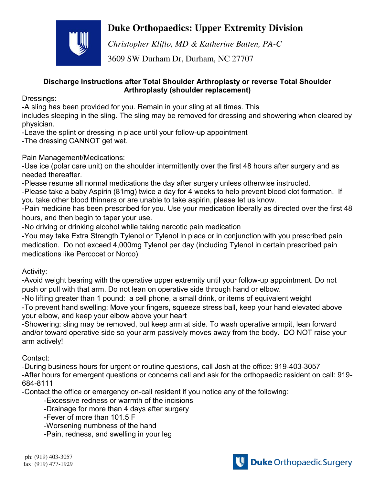## **Duke Orthopaedics: Upper Extremity Division**



*Christopher Klifto, MD & Katherine Batten, PA-C* 

3609 SW Durham Dr, Durham, NC 27707

## **Discharge Instructions after Total Shoulder Arthroplasty or reverse Total Shoulder Arthroplasty (shoulder replacement)**

Dressings:

-A sling has been provided for you. Remain in your sling at all times. This

includes sleeping in the sling. The sling may be removed for dressing and showering when cleared by physician.

-Leave the splint or dressing in place until your follow-up appointment

-The dressing CANNOT get wet.

Pain Management/Medications:

-Use ice (polar care unit) on the shoulder intermittently over the first 48 hours after surgery and as needed thereafter.

-Please resume all normal medications the day after surgery unless otherwise instructed.

-Please take a baby Aspirin (81mg) twice a day for 4 weeks to help prevent blood clot formation. If you take other blood thinners or are unable to take aspirin, please let us know.

-Pain medicine has been prescribed for you. Use your medication liberally as directed over the first 48 hours, and then begin to taper your use.

-No driving or drinking alcohol while taking narcotic pain medication

-You may take Extra Strength Tylenol or Tylenol in place or in conjunction with you prescribed pain medication. Do not exceed 4,000mg Tylenol per day (including Tylenol in certain prescribed pain medications like Percocet or Norco)

Activity:

-Avoid weight bearing with the operative upper extremity until your follow-up appointment. Do not push or pull with that arm. Do not lean on operative side through hand or elbow.

-No lifting greater than 1 pound: a cell phone, a small drink, or items of equivalent weight

-To prevent hand swelling: Move your fingers, squeeze stress ball, keep your hand elevated above your elbow, and keep your elbow above your heart

-Showering: sling may be removed, but keep arm at side. To wash operative armpit, lean forward and/or toward operative side so your arm passively moves away from the body. DO NOT raise your arm actively!

Contact:

-During business hours for urgent or routine questions, call Josh at the office: 919-403-3057 -After hours for emergent questions or concerns call and ask for the orthopaedic resident on call: 919- 684-8111

-Contact the office or emergency on-call resident if you notice any of the following:

-Excessive redness or warmth of the incisions

-Drainage for more than 4 days after surgery

-Fever of more than 101.5 F

-Worsening numbness of the hand

-Pain, redness, and swelling in your leg